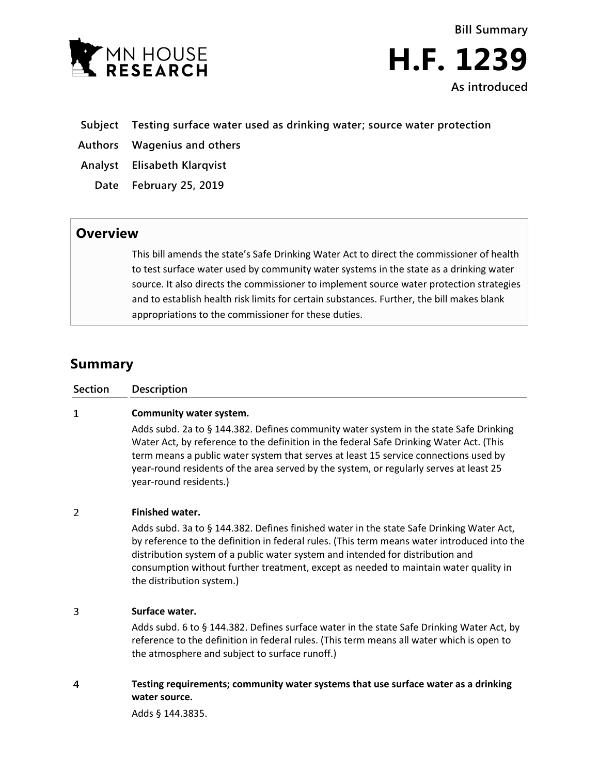

**Bill Summary H.F. 1239 As introduced**

- **Subject Testing surface water used as drinking water; source water protection**
- **Authors Wagenius and others**
- **Analyst Elisabeth Klarqvist**
	- **Date February 25, 2019**

## **Overview**

This bill amends the state's Safe Drinking Water Act to direct the commissioner of health to test surface water used by community water systems in the state as a drinking water source. It also directs the commissioner to implement source water protection strategies and to establish health risk limits for certain substances. Further, the bill makes blank appropriations to the commissioner for these duties.

# **Summary**

| Section | <b>Description</b>                                                                                                                                                                                                                                                                                                                                                                                                       |
|---------|--------------------------------------------------------------------------------------------------------------------------------------------------------------------------------------------------------------------------------------------------------------------------------------------------------------------------------------------------------------------------------------------------------------------------|
| 1       | Community water system.<br>Adds subd. 2a to § 144.382. Defines community water system in the state Safe Drinking<br>Water Act, by reference to the definition in the federal Safe Drinking Water Act. (This<br>term means a public water system that serves at least 15 service connections used by<br>year-round residents of the area served by the system, or regularly serves at least 25<br>year-round residents.)  |
| 2       | <b>Finished water.</b><br>Adds subd. 3a to § 144.382. Defines finished water in the state Safe Drinking Water Act,<br>by reference to the definition in federal rules. (This term means water introduced into the<br>distribution system of a public water system and intended for distribution and<br>consumption without further treatment, except as needed to maintain water quality in<br>the distribution system.) |
| 3       | Surface water.<br>Adds subd. 6 to § 144.382. Defines surface water in the state Safe Drinking Water Act, by<br>reference to the definition in federal rules. (This term means all water which is open to<br>the atmosphere and subject to surface runoff.)                                                                                                                                                               |
| 4       | Testing requirements; community water systems that use surface water as a drinking<br>water source.<br>Adds § 144.3835.                                                                                                                                                                                                                                                                                                  |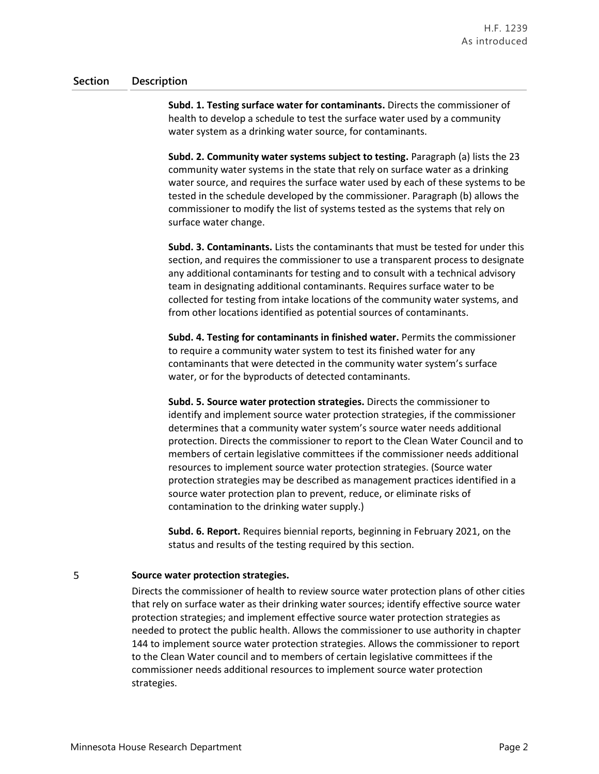### **Section Description**

**Subd. 1. Testing surface water for contaminants.** Directs the commissioner of health to develop a schedule to test the surface water used by a community water system as a drinking water source, for contaminants.

**Subd. 2. Community water systems subject to testing.** Paragraph (a) lists the 23 community water systems in the state that rely on surface water as a drinking water source, and requires the surface water used by each of these systems to be tested in the schedule developed by the commissioner. Paragraph (b) allows the commissioner to modify the list of systems tested as the systems that rely on surface water change.

**Subd. 3. Contaminants.** Lists the contaminants that must be tested for under this section, and requires the commissioner to use a transparent process to designate any additional contaminants for testing and to consult with a technical advisory team in designating additional contaminants. Requires surface water to be collected for testing from intake locations of the community water systems, and from other locations identified as potential sources of contaminants.

**Subd. 4. Testing for contaminants in finished water.** Permits the commissioner to require a community water system to test its finished water for any contaminants that were detected in the community water system's surface water, or for the byproducts of detected contaminants.

**Subd. 5. Source water protection strategies.** Directs the commissioner to identify and implement source water protection strategies, if the commissioner determines that a community water system's source water needs additional protection. Directs the commissioner to report to the Clean Water Council and to members of certain legislative committees if the commissioner needs additional resources to implement source water protection strategies. (Source water protection strategies may be described as management practices identified in a source water protection plan to prevent, reduce, or eliminate risks of contamination to the drinking water supply.)

**Subd. 6. Report.** Requires biennial reports, beginning in February 2021, on the status and results of the testing required by this section.

#### 5 **Source water protection strategies.**

Directs the commissioner of health to review source water protection plans of other cities that rely on surface water as their drinking water sources; identify effective source water protection strategies; and implement effective source water protection strategies as needed to protect the public health. Allows the commissioner to use authority in chapter 144 to implement source water protection strategies. Allows the commissioner to report to the Clean Water council and to members of certain legislative committees if the commissioner needs additional resources to implement source water protection strategies.